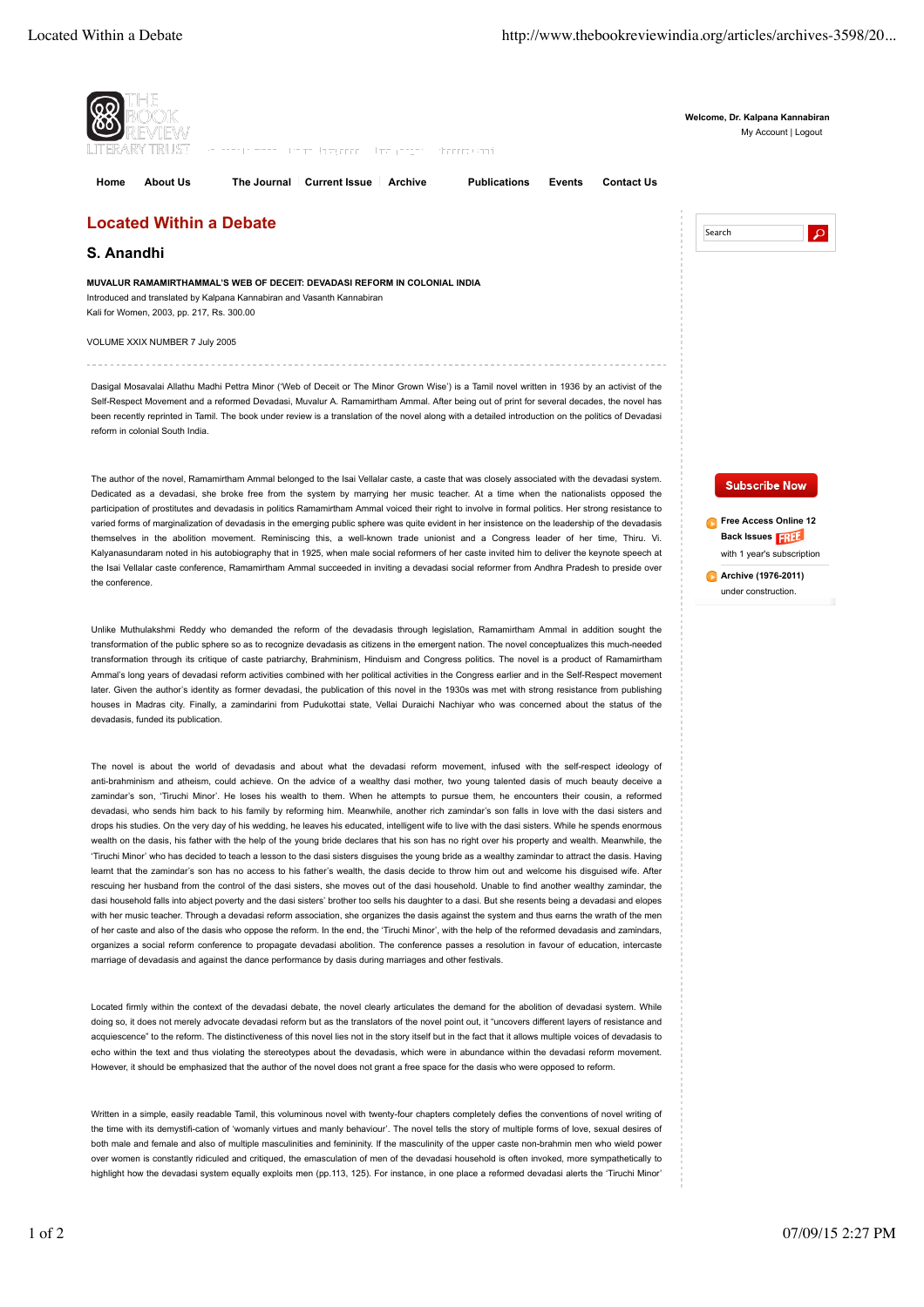